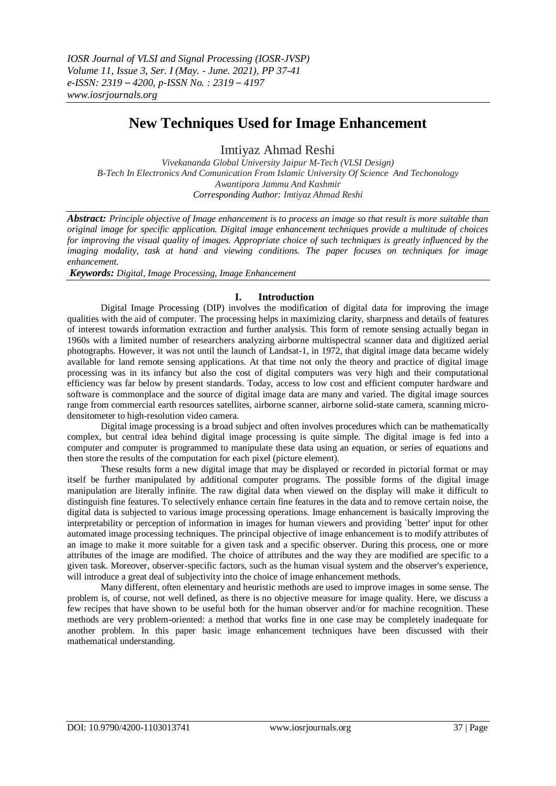# **New Techniques Used for Image Enhancement**

Imtiyaz Ahmad Reshi

*Vivekananda Global University Jaipur M-Tech (VLSI Design) B-Tech In Electronics And Comunication From Islamic University Of Science And Techonology Awantipora Jammu And Kashmir Corresponding Author: Imtiyaz Ahmad Reshi*

*Abstract: Principle objective of Image enhancement is to process an image so that result is more suitable than original image for specific application. Digital image enhancement techniques provide a multitude of choices for improving the visual quality of images. Appropriate choice of such techniques is greatly influenced by the imaging modality, task at hand and viewing conditions. The paper focuses on techniques for image enhancement.*

*Keywords: Digital, Image Processing, Image Enhancement*

## **I. Introduction**

Digital Image Processing (DIP) involves the modification of digital data for improving the image qualities with the aid of computer. The processing helps in maximizing clarity, sharpness and details of features of interest towards information extraction and further analysis. This form of remote sensing actually began in 1960s with a limited number of researchers analyzing airborne multispectral scanner data and digitized aerial photographs. However, it was not until the launch of Landsat-1, in 1972, that digital image data became widely available for land remote sensing applications. At that time not only the theory and practice of digital image processing was in its infancy but also the cost of digital computers was very high and their computational efficiency was far below by present standards. Today, access to low cost and efficient computer hardware and software is commonplace and the source of digital image data are many and varied. The digital image sources range from commercial earth resources satellites, airborne scanner, airborne solid-state camera, scanning microdensitometer to high-resolution video camera.

Digital image processing is a broad subject and often involves procedures which can be mathematically complex, but central idea behind digital image processing is quite simple. The digital image is fed into a computer and computer is programmed to manipulate these data using an equation, or series of equations and then store the results of the computation for each pixel (picture element).

These results form a new digital image that may be displayed or recorded in pictorial format or may itself be further manipulated by additional computer programs. The possible forms of the digital image manipulation are literally infinite. The raw digital data when viewed on the display will make it difficult to distinguish fine features. To selectively enhance certain fine features in the data and to remove certain noise, the digital data is subjected to various image processing operations. Image enhancement is basically improving the interpretability or perception of information in images for human viewers and providing `better' input for other automated image processing techniques. The principal objective of image enhancement is to modify attributes of an image to make it more suitable for a given task and a specific observer. During this process, one or more attributes of the image are modified. The choice of attributes and the way they are modified are specific to a given task. Moreover, observer-specific factors, such as the human visual system and the observer's experience, will introduce a great deal of subjectivity into the choice of image enhancement methods.

Many different, often elementary and heuristic methods are used to improve images in some sense. The problem is, of course, not well defined, as there is no objective measure for image quality. Here, we discuss a few recipes that have shown to be useful both for the human observer and/or for machine recognition. These methods are very problem-oriented: a method that works fine in one case may be completely inadequate for another problem. In this paper basic image enhancement techniques have been discussed with their mathematical understanding.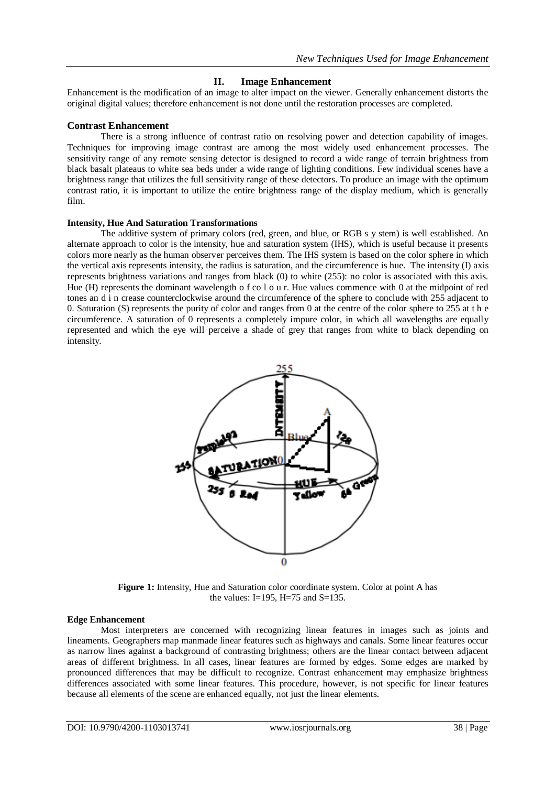## **II. Image Enhancement**

Enhancement is the modification of an image to alter impact on the viewer. Generally enhancement distorts the original digital values; therefore enhancement is not done until the restoration processes are completed.

## **Contrast Enhancement**

There is a strong influence of contrast ratio on resolving power and detection capability of images. Techniques for improving image contrast are among the most widely used enhancement processes. The sensitivity range of any remote sensing detector is designed to record a wide range of terrain brightness from black basalt plateaus to white sea beds under a wide range of lighting conditions. Few individual scenes have a brightness range that utilizes the full sensitivity range of these detectors. To produce an image with the optimum contrast ratio, it is important to utilize the entire brightness range of the display medium, which is generally film.

#### **Intensity, Hue And Saturation Transformations**

The additive system of primary colors (red, green, and blue, or RGB s y stem) is well established. An alternate approach to color is the intensity, hue and saturation system (IHS), which is useful because it presents colors more nearly as the human observer perceives them. The IHS system is based on the color sphere in which the vertical axis represents intensity, the radius is saturation, and the circumference is hue. The intensity (I) axis represents brightness variations and ranges from black (0) to white (255): no color is associated with this axis. Hue (H) represents the dominant wavelength o f co l o u r. Hue values commence with 0 at the midpoint of red tones an d i n crease counterclockwise around the circumference of the sphere to conclude with 255 adjacent to 0. Saturation (S) represents the purity of color and ranges from 0 at the centre of the color sphere to 255 at t h e circumference. A saturation of 0 represents a completely impure color, in which all wavelengths are equally represented and which the eye will perceive a shade of grey that ranges from white to black depending on intensity.



**Figure 1:** Intensity, Hue and Saturation color coordinate system. Color at point A has the values: I=195, H=75 and S=135.

#### **Edge Enhancement**

Most interpreters are concerned with recognizing linear features in images such as joints and lineaments. Geographers map manmade linear features such as highways and canals. Some linear features occur as narrow lines against a background of contrasting brightness; others are the linear contact between adjacent areas of different brightness. In all cases, linear features are formed by edges. Some edges are marked by pronounced differences that may be difficult to recognize. Contrast enhancement may emphasize brightness differences associated with some linear features. This procedure, however, is not specific for linear features because all elements of the scene are enhanced equally, not just the linear elements.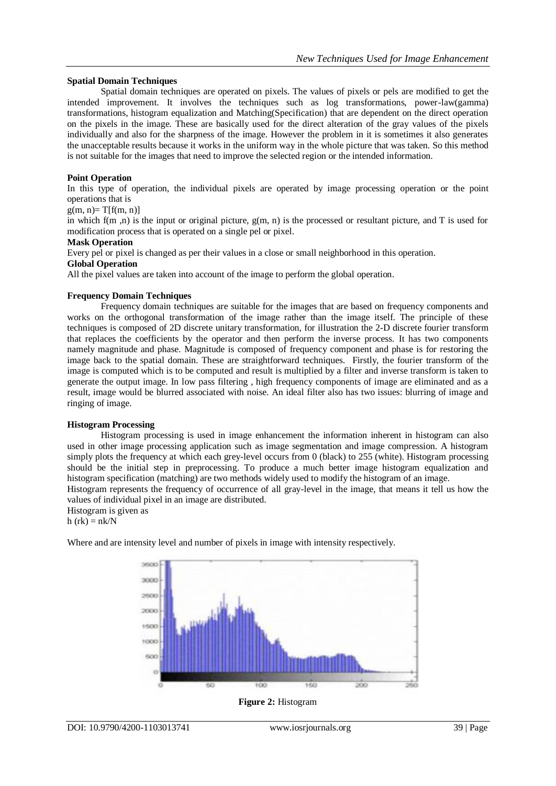### **Spatial Domain Techniques**

Spatial domain techniques are operated on pixels. The values of pixels or pels are modified to get the intended improvement. It involves the techniques such as log transformations, power-law(gamma) transformations, histogram equalization and Matching(Specification) that are dependent on the direct operation on the pixels in the image. These are basically used for the direct alteration of the gray values of the pixels individually and also for the sharpness of the image. However the problem in it is sometimes it also generates the unacceptable results because it works in the uniform way in the whole picture that was taken. So this method is not suitable for the images that need to improve the selected region or the intended information.

### **Point Operation**

In this type of operation, the individual pixels are operated by image processing operation or the point operations that is

 $g(m, n)=T[f(m, n)]$ 

in which  $f(m, n)$  is the input or original picture,  $g(m, n)$  is the processed or resultant picture, and T is used for modification process that is operated on a single pel or pixel.

#### **Mask Operation**

Every pel or pixel is changed as per their values in a close or small neighborhood in this operation.

### **Global Operation**

All the pixel values are taken into account of the image to perform the global operation.

#### **Frequency Domain Techniques**

Frequency domain techniques are suitable for the images that are based on frequency components and works on the orthogonal transformation of the image rather than the image itself. The principle of these techniques is composed of 2D discrete unitary transformation, for illustration the 2-D discrete fourier transform that replaces the coefficients by the operator and then perform the inverse process. It has two components namely magnitude and phase. Magnitude is composed of frequency component and phase is for restoring the image back to the spatial domain. These are straightforward techniques. Firstly, the fourier transform of the image is computed which is to be computed and result is multiplied by a filter and inverse transform is taken to generate the output image. In low pass filtering , high frequency components of image are eliminated and as a result, image would be blurred associated with noise. An ideal filter also has two issues: blurring of image and ringing of image.

#### **Histogram Processing**

Histogram processing is used in image enhancement the information inherent in histogram can also used in other image processing application such as image segmentation and image compression. A histogram simply plots the frequency at which each grey-level occurs from 0 (black) to 255 (white). Histogram processing should be the initial step in preprocessing. To produce a much better image histogram equalization and histogram specification (matching) are two methods widely used to modify the histogram of an image.

Histogram represents the frequency of occurrence of all gray-level in the image, that means it tell us how the values of individual pixel in an image are distributed.

Histogram is given as h  $(rk) = nk/N$ 

Where and are intensity level and number of pixels in image with intensity respectively.



**Figure 2:** Histogram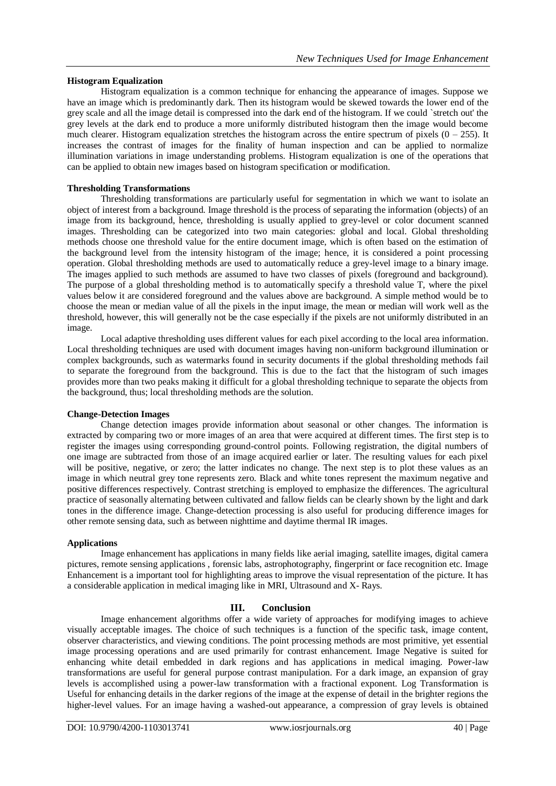## **Histogram Equalization**

Histogram equalization is a common technique for enhancing the appearance of images. Suppose we have an image which is predominantly dark. Then its histogram would be skewed towards the lower end of the grey scale and all the image detail is compressed into the dark end of the histogram. If we could `stretch out' the grey levels at the dark end to produce a more uniformly distributed histogram then the image would become much clearer. Histogram equalization stretches the histogram across the entire spectrum of pixels  $(0 - 255)$ . It increases the contrast of images for the finality of human inspection and can be applied to normalize illumination variations in image understanding problems. Histogram equalization is one of the operations that can be applied to obtain new images based on histogram specification or modification.

## **Thresholding Transformations**

Thresholding transformations are particularly useful for segmentation in which we want to isolate an object of interest from a background. Image threshold is the process of separating the information (objects) of an image from its background, hence, thresholding is usually applied to grey-level or color document scanned images. Thresholding can be categorized into two main categories: global and local. Global thresholding methods choose one threshold value for the entire document image, which is often based on the estimation of the background level from the intensity histogram of the image; hence, it is considered a point processing operation. Global thresholding methods are used to automatically reduce a grey-level image to a binary image. The images applied to such methods are assumed to have two classes of pixels (foreground and background). The purpose of a global thresholding method is to automatically specify a threshold value T, where the pixel values below it are considered foreground and the values above are background. A simple method would be to choose the mean or median value of all the pixels in the input image, the mean or median will work well as the threshold, however, this will generally not be the case especially if the pixels are not uniformly distributed in an image.

Local adaptive thresholding uses different values for each pixel according to the local area information. Local thresholding techniques are used with document images having non-uniform background illumination or complex backgrounds, such as watermarks found in security documents if the global thresholding methods fail to separate the foreground from the background. This is due to the fact that the histogram of such images provides more than two peaks making it difficult for a global thresholding technique to separate the objects from the background, thus; local thresholding methods are the solution.

#### **Change-Detection Images**

Change detection images provide information about seasonal or other changes. The information is extracted by comparing two or more images of an area that were acquired at different times. The first step is to register the images using corresponding ground-control points. Following registration, the digital numbers of one image are subtracted from those of an image acquired earlier or later. The resulting values for each pixel will be positive, negative, or zero; the latter indicates no change. The next step is to plot these values as an image in which neutral grey tone represents zero. Black and white tones represent the maximum negative and positive differences respectively. Contrast stretching is employed to emphasize the differences. The agricultural practice of seasonally alternating between cultivated and fallow fields can be clearly shown by the light and dark tones in the difference image. Change-detection processing is also useful for producing difference images for other remote sensing data, such as between nighttime and daytime thermal IR images.

#### **Applications**

Image enhancement has applications in many fields like aerial imaging, satellite images, digital camera pictures, remote sensing applications , forensic labs, astrophotography, fingerprint or face recognition etc. Image Enhancement is a important tool for highlighting areas to improve the visual representation of the picture. It has a considerable application in medical imaging like in MRI, Ultrasound and X- Rays.

## **III. Conclusion**

Image enhancement algorithms offer a wide variety of approaches for modifying images to achieve visually acceptable images. The choice of such techniques is a function of the specific task, image content, observer characteristics, and viewing conditions. The point processing methods are most primitive, yet essential image processing operations and are used primarily for contrast enhancement. Image Negative is suited for enhancing white detail embedded in dark regions and has applications in medical imaging. Power-law transformations are useful for general purpose contrast manipulation. For a dark image, an expansion of gray levels is accomplished using a power-law transformation with a fractional exponent. Log Transformation is Useful for enhancing details in the darker regions of the image at the expense of detail in the brighter regions the higher-level values. For an image having a washed-out appearance, a compression of gray levels is obtained